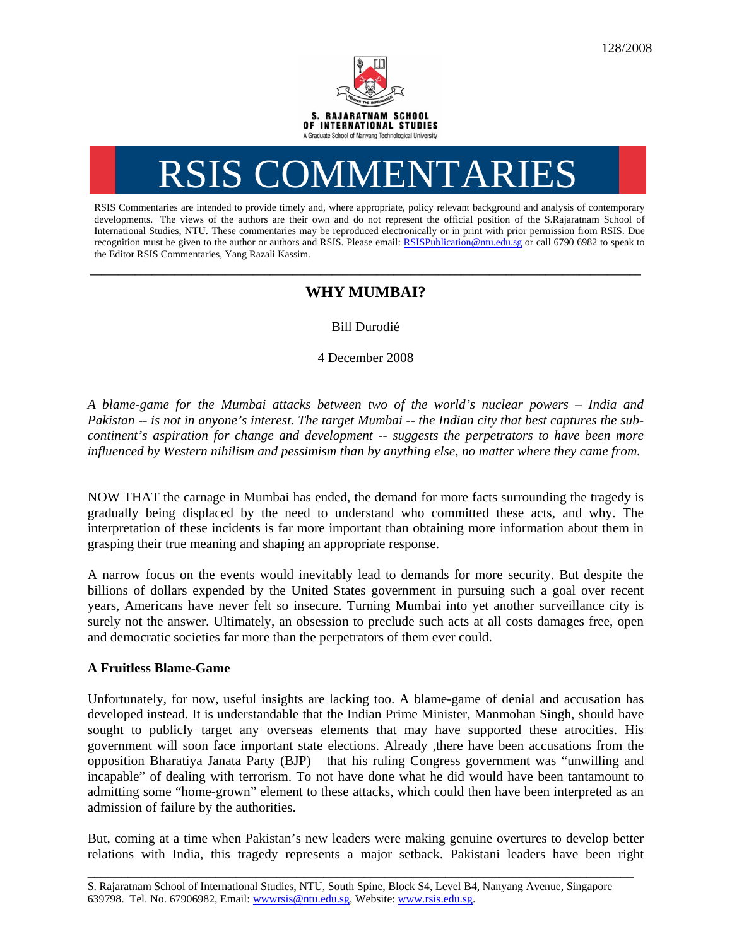# RSIS COMMENTARI

RSIS Commentaries are intended to provide timely and, where appropriate, policy relevant background and analysis of contemporary developments. The views of the authors are their own and do not represent the official position of the S.Rajaratnam School of International Studies, NTU. These commentaries may be reproduced electronically or in print with prior permission from RSIS. Due recognition must be given to the author or authors and RSIS. Please email: RSISPublication@ntu.edu.sg or call 6790 6982 to speak to the Editor RSIS Commentaries, Yang Razali Kassim.

## **\_\_\_\_\_\_\_\_\_\_\_\_\_\_\_\_\_\_\_\_\_\_\_\_\_\_\_\_\_\_\_\_\_\_\_\_\_\_\_\_\_\_\_\_\_\_\_\_\_\_\_\_\_\_\_\_\_\_\_\_\_\_\_\_\_\_\_\_\_\_\_\_\_\_\_\_\_\_\_\_\_\_\_\_\_\_\_\_\_\_\_\_\_\_\_\_\_\_ WHY MUMBAI?**

Bill Durodié

4 December 2008

*A blame-game for the Mumbai attacks between two of the world's nuclear powers – India and Pakistan -- is not in anyone's interest. The target Mumbai -- the Indian city that best captures the subcontinent's aspiration for change and development -- suggests the perpetrators to have been more influenced by Western nihilism and pessimism than by anything else, no matter where they came from.* 

NOW THAT the carnage in Mumbai has ended, the demand for more facts surrounding the tragedy is gradually being displaced by the need to understand who committed these acts, and why. The interpretation of these incidents is far more important than obtaining more information about them in grasping their true meaning and shaping an appropriate response.

A narrow focus on the events would inevitably lead to demands for more security. But despite the billions of dollars expended by the United States government in pursuing such a goal over recent years, Americans have never felt so insecure. Turning Mumbai into yet another surveillance city is surely not the answer. Ultimately, an obsession to preclude such acts at all costs damages free, open and democratic societies far more than the perpetrators of them ever could.

### **A Fruitless Blame-Game**

Unfortunately, for now, useful insights are lacking too. A blame-game of denial and accusation has developed instead. It is understandable that the Indian Prime Minister, Manmohan Singh, should have sought to publicly target any overseas elements that may have supported these atrocities. His government will soon face important state elections. Already ,there have been accusations from the opposition Bharatiya Janata Party (BJP) that his ruling Congress government was "unwilling and incapable" of dealing with terrorism. To not have done what he did would have been tantamount to admitting some "home-grown" element to these attacks, which could then have been interpreted as an admission of failure by the authorities.

But, coming at a time when Pakistan's new leaders were making genuine overtures to develop better relations with India, this tragedy represents a major setback. Pakistani leaders have been right

\_\_\_\_\_\_\_\_\_\_\_\_\_\_\_\_\_\_\_\_\_\_\_\_\_\_\_\_\_\_\_\_\_\_\_\_\_\_\_\_\_\_\_\_\_\_\_\_\_\_\_\_\_\_\_\_\_\_\_\_\_\_\_\_\_\_\_\_\_\_\_\_\_\_\_\_\_\_\_\_\_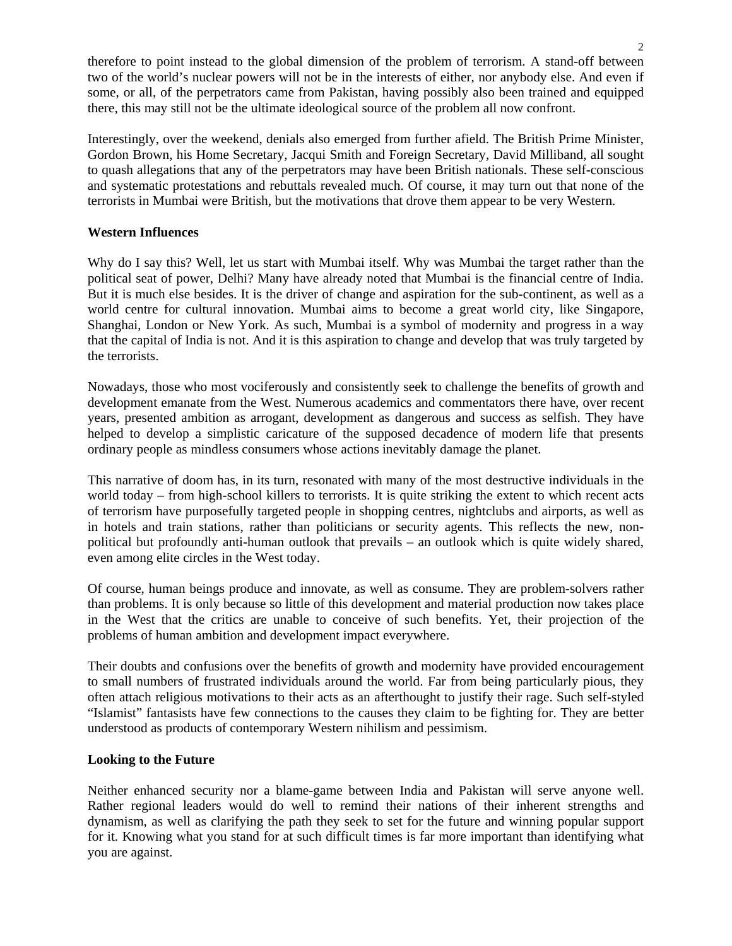therefore to point instead to the global dimension of the problem of terrorism. A stand-off between two of the world's nuclear powers will not be in the interests of either, nor anybody else. And even if some, or all, of the perpetrators came from Pakistan, having possibly also been trained and equipped there, this may still not be the ultimate ideological source of the problem all now confront.

Interestingly, over the weekend, denials also emerged from further afield. The British Prime Minister, Gordon Brown, his Home Secretary, Jacqui Smith and Foreign Secretary, David Milliband, all sought to quash allegations that any of the perpetrators may have been British nationals. These self-conscious and systematic protestations and rebuttals revealed much. Of course, it may turn out that none of the terrorists in Mumbai were British, but the motivations that drove them appear to be very Western.

#### **Western Influences**

Why do I say this? Well, let us start with Mumbai itself. Why was Mumbai the target rather than the political seat of power, Delhi? Many have already noted that Mumbai is the financial centre of India. But it is much else besides. It is the driver of change and aspiration for the sub-continent, as well as a world centre for cultural innovation. Mumbai aims to become a great world city, like Singapore, Shanghai, London or New York. As such, Mumbai is a symbol of modernity and progress in a way that the capital of India is not. And it is this aspiration to change and develop that was truly targeted by the terrorists.

Nowadays, those who most vociferously and consistently seek to challenge the benefits of growth and development emanate from the West. Numerous academics and commentators there have, over recent years, presented ambition as arrogant, development as dangerous and success as selfish. They have helped to develop a simplistic caricature of the supposed decadence of modern life that presents ordinary people as mindless consumers whose actions inevitably damage the planet.

This narrative of doom has, in its turn, resonated with many of the most destructive individuals in the world today – from high-school killers to terrorists. It is quite striking the extent to which recent acts of terrorism have purposefully targeted people in shopping centres, nightclubs and airports, as well as in hotels and train stations, rather than politicians or security agents. This reflects the new, nonpolitical but profoundly anti-human outlook that prevails – an outlook which is quite widely shared, even among elite circles in the West today.

Of course, human beings produce and innovate, as well as consume. They are problem-solvers rather than problems. It is only because so little of this development and material production now takes place in the West that the critics are unable to conceive of such benefits. Yet, their projection of the problems of human ambition and development impact everywhere.

Their doubts and confusions over the benefits of growth and modernity have provided encouragement to small numbers of frustrated individuals around the world. Far from being particularly pious, they often attach religious motivations to their acts as an afterthought to justify their rage. Such self-styled "Islamist" fantasists have few connections to the causes they claim to be fighting for. They are better understood as products of contemporary Western nihilism and pessimism.

#### **Looking to the Future**

Neither enhanced security nor a blame-game between India and Pakistan will serve anyone well. Rather regional leaders would do well to remind their nations of their inherent strengths and dynamism, as well as clarifying the path they seek to set for the future and winning popular support for it. Knowing what you stand for at such difficult times is far more important than identifying what you are against.